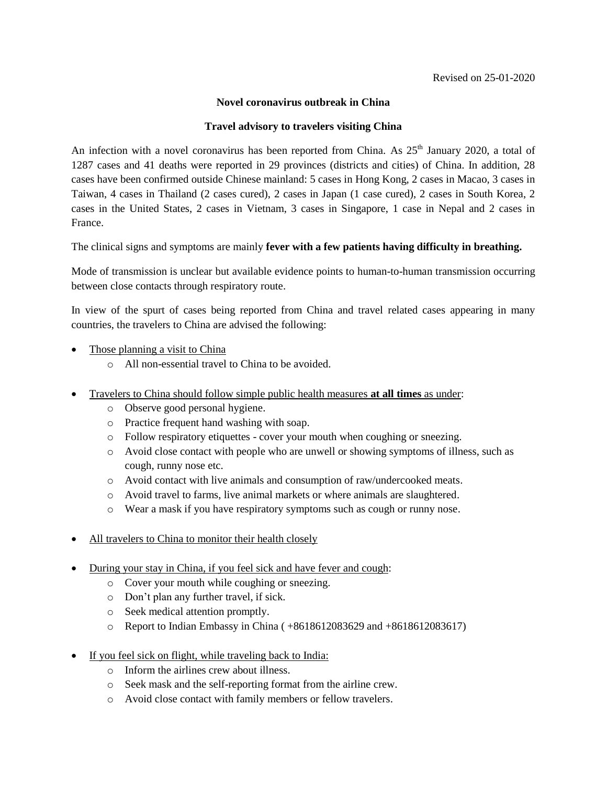## **Novel coronavirus outbreak in China**

## **Travel advisory to travelers visiting China**

An infection with a novel coronavirus has been reported from China. As  $25<sup>th</sup>$  January 2020, a total of 1287 cases and 41 deaths were reported in 29 provinces (districts and cities) of China. In addition, 28 cases have been confirmed outside Chinese mainland: 5 cases in Hong Kong, 2 cases in Macao, 3 cases in Taiwan, 4 cases in Thailand (2 cases cured), 2 cases in Japan (1 case cured), 2 cases in South Korea, 2 cases in the United States, 2 cases in Vietnam, 3 cases in Singapore, 1 case in Nepal and 2 cases in France.

The clinical signs and symptoms are mainly **fever with a few patients having difficulty in breathing.**

Mode of transmission is unclear but available evidence points to human-to-human transmission occurring between close contacts through respiratory route.

In view of the spurt of cases being reported from China and travel related cases appearing in many countries, the travelers to China are advised the following:

- Those planning a visit to China
	- o All non-essential travel to China to be avoided.
- Travelers to China should follow simple public health measures **at all times** as under:
	- o Observe good personal hygiene.
	- o Practice frequent hand washing with soap.
	- o Follow respiratory etiquettes cover your mouth when coughing or sneezing.
	- o Avoid close contact with people who are unwell or showing symptoms of illness, such as cough, runny nose etc.
	- o Avoid contact with live animals and consumption of raw/undercooked meats.
	- o Avoid travel to farms, live animal markets or where animals are slaughtered.
	- o Wear a mask if you have respiratory symptoms such as cough or runny nose.
- All travelers to China to monitor their health closely
- During your stay in China, if you feel sick and have fever and cough:
	- o Cover your mouth while coughing or sneezing.
	- o Don't plan any further travel, if sick.
	- o Seek medical attention promptly.
	- o Report to Indian Embassy in China ( +8618612083629 and +8618612083617)
- If you feel sick on flight, while traveling back to India:
	- o Inform the airlines crew about illness.
	- o Seek mask and the self-reporting format from the airline crew.
	- o Avoid close contact with family members or fellow travelers.